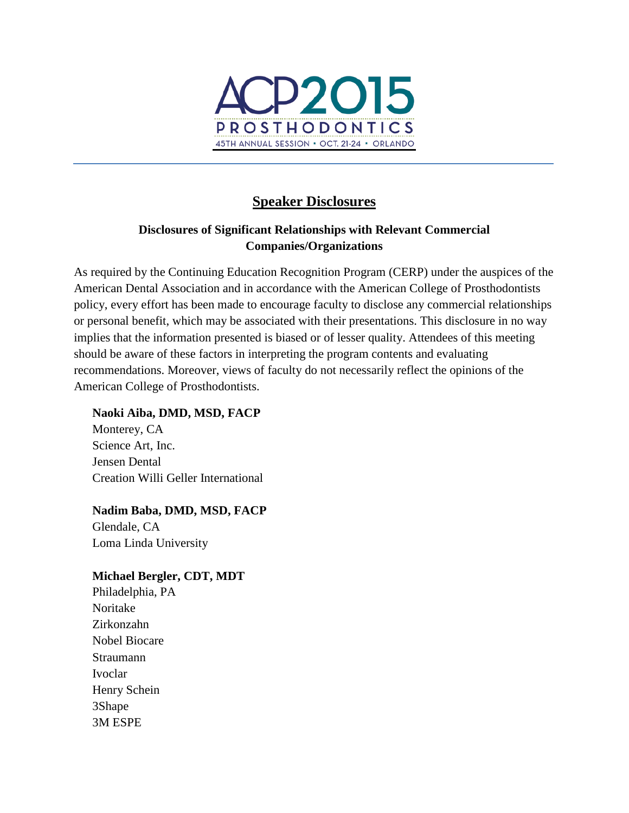

# **Speaker Disclosures**

## **Disclosures of Significant Relationships with Relevant Commercial Companies/Organizations**

As required by the Continuing Education Recognition Program (CERP) under the auspices of the American Dental Association and in accordance with the American College of Prosthodontists policy, every effort has been made to encourage faculty to disclose any commercial relationships or personal benefit, which may be associated with their presentations. This disclosure in no way implies that the information presented is biased or of lesser quality. Attendees of this meeting should be aware of these factors in interpreting the program contents and evaluating recommendations. Moreover, views of faculty do not necessarily reflect the opinions of the American College of Prosthodontists.

## **Naoki Aiba, DMD, MSD, FACP**

Monterey, CA Science Art, Inc. Jensen Dental Creation Willi Geller International

# **Nadim Baba, DMD, MSD, FACP**

Glendale, CA Loma Linda University

## **Michael Bergler, CDT, MDT**

Philadelphia, PA Noritake Zirkonzahn Nobel Biocare Straumann Ivoclar Henry Schein 3Shape 3M ESPE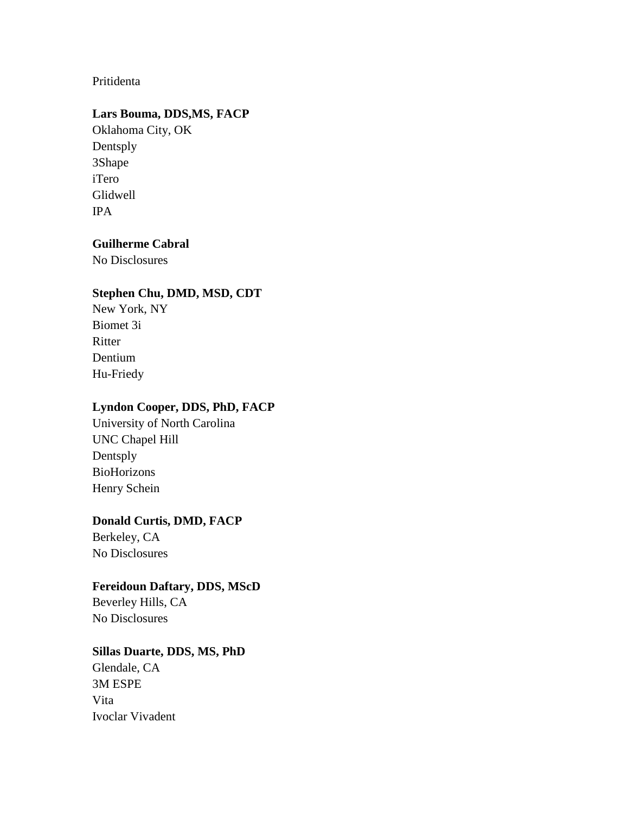## Pritidenta

## **Lars Bouma, DDS,MS, FACP**

Oklahoma City, OK Dentsply 3Shape iTero Glidwell IPA

## **Guilherme Cabral**

No Disclosures

#### **Stephen Chu, DMD, MSD, CDT**

New York, NY Biomet 3i **Ritter** Dentium Hu-Friedy

### **Lyndon Cooper, DDS, PhD, FACP**

University of North Carolina UNC Chapel Hill Dentsply BioHorizons Henry Schein

### **Donald Curtis, DMD, FACP**

Berkeley, CA No Disclosures

## **Fereidoun Daftary, DDS, MScD**

Beverley Hills, CA No Disclosures

### **Sillas Duarte, DDS, MS, PhD**

Glendale, CA 3M ESPE Vita Ivoclar Vivadent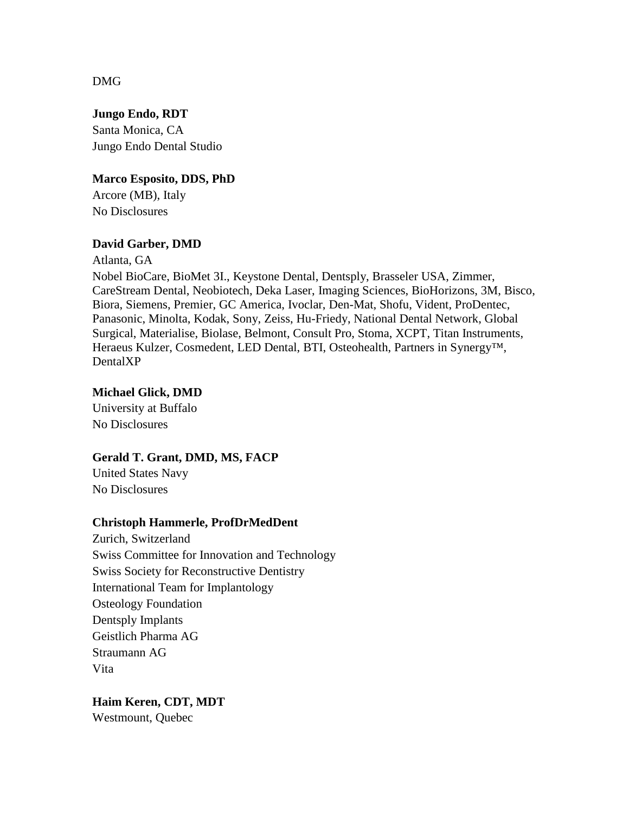DMG

**Jungo Endo, RDT** Santa Monica, CA Jungo Endo Dental Studio

## **Marco Esposito, DDS, PhD**

Arcore (MB), Italy No Disclosures

## **David Garber, DMD**

Atlanta, GA

Nobel BioCare, BioMet 3I., Keystone Dental, Dentsply, Brasseler USA, Zimmer, CareStream Dental, Neobiotech, Deka Laser, Imaging Sciences, BioHorizons, 3M, Bisco, Biora, Siemens, Premier, GC America, Ivoclar, Den-Mat, Shofu, Vident, ProDentec, Panasonic, Minolta, Kodak, Sony, Zeiss, Hu-Friedy, National Dental Network, Global Surgical, Materialise, Biolase, Belmont, Consult Pro, Stoma, XCPT, Titan Instruments, Heraeus Kulzer, Cosmedent, LED Dental, BTI, Osteohealth, Partners in Synergy™, DentalXP

## **Michael Glick, DMD**

University at Buffalo No Disclosures

### **Gerald T. Grant, DMD, MS, FACP**

United States Navy No Disclosures

## **Christoph Hammerle, ProfDrMedDent**

Zurich, Switzerland Swiss Committee for Innovation and Technology Swiss Society for Reconstructive Dentistry International Team for Implantology Osteology Foundation Dentsply Implants Geistlich Pharma AG Straumann AG Vita

**Haim Keren, CDT, MDT** Westmount, Quebec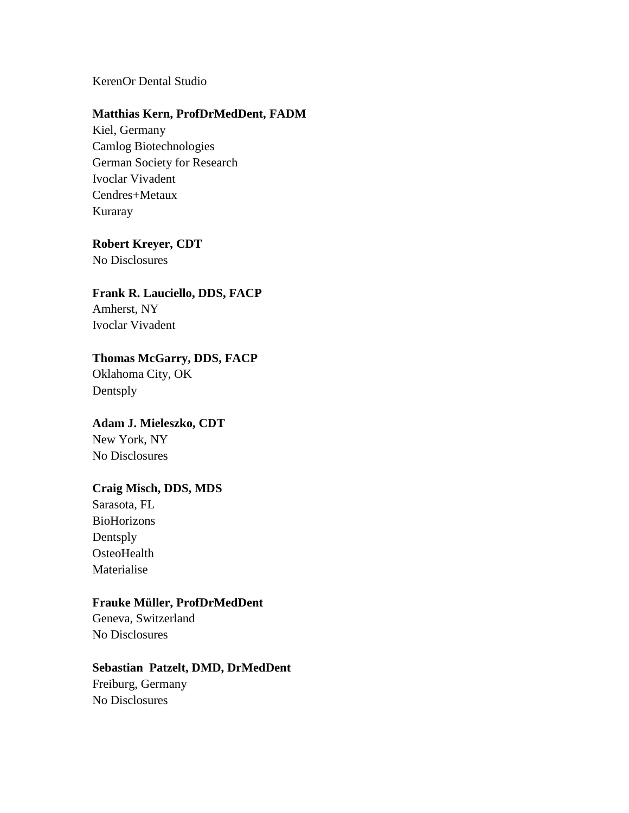### KerenOr Dental Studio

#### **Matthias Kern, ProfDrMedDent, FADM**

Kiel, Germany Camlog Biotechnologies German Society for Research Ivoclar Vivadent Cendres+Metaux Kuraray

#### **Robert Kreyer, CDT**

No Disclosures

# **Frank R. Lauciello, DDS, FACP**

Amherst, NY Ivoclar Vivadent

## **Thomas McGarry, DDS, FACP**

Oklahoma City, OK Dentsply

# **Adam J. Mieleszko, CDT**

New York, NY No Disclosures

#### **Craig Misch, DDS, MDS**

Sarasota, FL BioHorizons Dentsply **OsteoHealth** Materialise

#### **Frauke Müller, ProfDrMedDent**

Geneva, Switzerland No Disclosures

### **Sebastian Patzelt, DMD, DrMedDent**

Freiburg, Germany No Disclosures